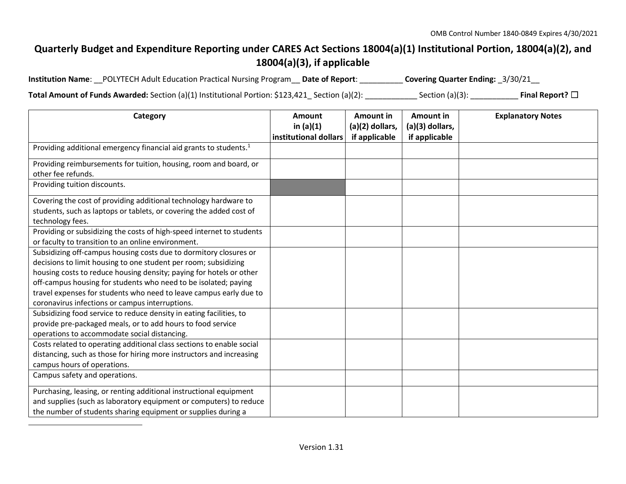## **Quarterly Budget and Expenditure Reporting under CARES Act Sections 18004(a)(1) Institutional Portion, 18004(a)(2), and 18004(a)(3), if applicable**

| Institution Name: __POLYTECH Adult Education Practical Nursing Program __ Date of Report: _ |  | Covering Quarter Ending: _3/30/21__ |
|---------------------------------------------------------------------------------------------|--|-------------------------------------|
|---------------------------------------------------------------------------------------------|--|-------------------------------------|

**Total Amount of Funds Awarded:** Section (a)(1) Institutional Portion: \$123,421\_ Section (a)(2): \_\_\_\_\_\_\_\_\_\_\_\_ Section (a)(3): \_\_\_\_\_\_\_\_\_\_\_ **Final Report?** ☐

| Category                                                                      | <b>Amount</b>         | <b>Amount in</b> | Amount in       | <b>Explanatory Notes</b> |
|-------------------------------------------------------------------------------|-----------------------|------------------|-----------------|--------------------------|
|                                                                               | in $(a)(1)$           | (a)(2) dollars,  | (a)(3) dollars, |                          |
|                                                                               | institutional dollars | if applicable    | if applicable   |                          |
| Providing additional emergency financial aid grants to students. <sup>1</sup> |                       |                  |                 |                          |
| Providing reimbursements for tuition, housing, room and board, or             |                       |                  |                 |                          |
| other fee refunds.                                                            |                       |                  |                 |                          |
| Providing tuition discounts.                                                  |                       |                  |                 |                          |
| Covering the cost of providing additional technology hardware to              |                       |                  |                 |                          |
| students, such as laptops or tablets, or covering the added cost of           |                       |                  |                 |                          |
| technology fees.                                                              |                       |                  |                 |                          |
| Providing or subsidizing the costs of high-speed internet to students         |                       |                  |                 |                          |
| or faculty to transition to an online environment.                            |                       |                  |                 |                          |
| Subsidizing off-campus housing costs due to dormitory closures or             |                       |                  |                 |                          |
| decisions to limit housing to one student per room; subsidizing               |                       |                  |                 |                          |
| housing costs to reduce housing density; paying for hotels or other           |                       |                  |                 |                          |
| off-campus housing for students who need to be isolated; paying               |                       |                  |                 |                          |
| travel expenses for students who need to leave campus early due to            |                       |                  |                 |                          |
| coronavirus infections or campus interruptions.                               |                       |                  |                 |                          |
| Subsidizing food service to reduce density in eating facilities, to           |                       |                  |                 |                          |
| provide pre-packaged meals, or to add hours to food service                   |                       |                  |                 |                          |
| operations to accommodate social distancing.                                  |                       |                  |                 |                          |
| Costs related to operating additional class sections to enable social         |                       |                  |                 |                          |
| distancing, such as those for hiring more instructors and increasing          |                       |                  |                 |                          |
| campus hours of operations.                                                   |                       |                  |                 |                          |
| Campus safety and operations.                                                 |                       |                  |                 |                          |
| Purchasing, leasing, or renting additional instructional equipment            |                       |                  |                 |                          |
| and supplies (such as laboratory equipment or computers) to reduce            |                       |                  |                 |                          |
| the number of students sharing equipment or supplies during a                 |                       |                  |                 |                          |